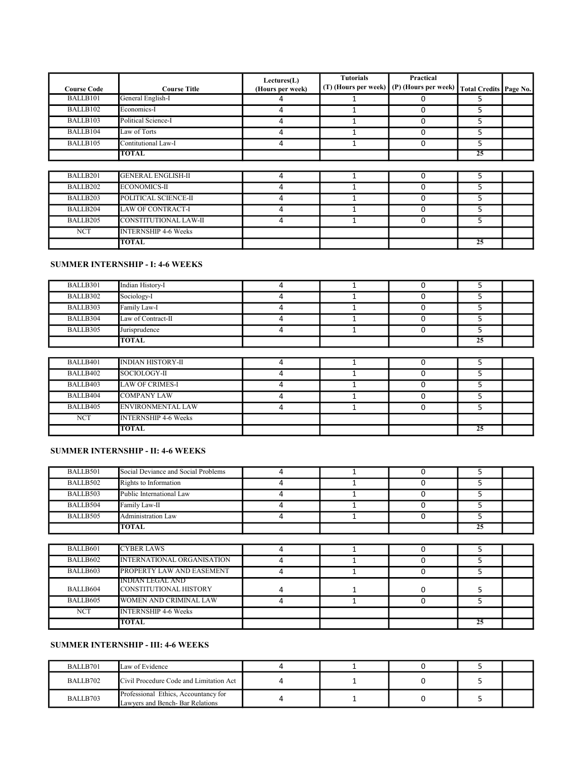|                    |                             | Lectures(L)      | <b>Tutorials</b><br>(T) (Hours per week) | Practical<br>(P) (Hours per week) |                               |  |
|--------------------|-----------------------------|------------------|------------------------------------------|-----------------------------------|-------------------------------|--|
| <b>Course Code</b> | <b>Course Title</b>         | (Hours per week) |                                          |                                   | <b>Total Credits Page No.</b> |  |
| BALLB101           | General English-I           | 4                |                                          | 0                                 | 5                             |  |
| BALLB102           | Economics-I                 | 4                |                                          | 0                                 | 5                             |  |
| BALLB103           | Political Science-I         | 4                |                                          | 0                                 | 5                             |  |
| BALLB104           | Law of Torts                | 4                |                                          | 0                                 | 5                             |  |
| BALLB105           | Contitutional Law-I         | 4                |                                          | 0                                 | 5                             |  |
|                    | <b>TOTAL</b>                |                  |                                          |                                   | 25                            |  |
|                    |                             |                  |                                          |                                   |                               |  |
| BALLB201           | <b>GENERAL ENGLISH-II</b>   | 4                |                                          | 0                                 | 5                             |  |
| BALLB202           | <b>ECONOMICS-II</b>         | 4                |                                          | 0                                 | 5                             |  |
| BALLB203           | POLITICAL SCIENCE-II        | 4                |                                          | 0                                 | 5                             |  |
| BALLB204           | <b>LAW OF CONTRACT-I</b>    | 4                |                                          | 0                                 | 5                             |  |
| BALLB205           | CONSTITUTIONAL LAW-II       | 4                |                                          | 0                                 | 5                             |  |
| NCT                | <b>INTERNSHIP 4-6 Weeks</b> |                  |                                          |                                   |                               |  |
|                    | <b>TOTAL</b>                |                  |                                          |                                   | 25                            |  |

## SUMMER INTERNSHIP - I: 4-6 WEEKS

| BALLB301                | Indian History-I            | 4 | 0        | 5               |  |
|-------------------------|-----------------------------|---|----------|-----------------|--|
| BALLB302                | Sociology-I                 | 4 | 0        | 5               |  |
| BALLB303                | Family Law-I                | 4 | 0        | 5               |  |
| BALLB304                | Law of Contract-II          | 4 | 0        | 5               |  |
| BALLB305                | Jurisprudence               | 4 | $\Omega$ | 5               |  |
|                         | <b>TOTAL</b>                |   |          | $\overline{25}$ |  |
|                         |                             |   |          |                 |  |
| BALLB401                | <b>INDIAN HISTORY-II</b>    | 4 | 0        | 5               |  |
| BALLB402                | SOCIOLOGY-II                | 4 | $\Omega$ | 5               |  |
| BALLB403                | <b>LAW OF CRIMES-I</b>      | 4 | $\Omega$ | 5               |  |
| BALLB404                | <b>COMPANY LAW</b>          | 4 | 0        | 5               |  |
| BALLB405                | <b>ENVIRONMENTAL LAW</b>    | 4 | $\Omega$ | 5               |  |
| $\overline{\text{NCT}}$ | <b>INTERNSHIP 4-6 Weeks</b> |   |          |                 |  |
|                         | <b>TOTAL</b>                |   |          | 25              |  |

## SUMMER INTERNSHIP - II: 4-6 WEEKS

| BALLB501 | Social Deviance and Social Problems               |   | $\Omega$ | 5  |  |
|----------|---------------------------------------------------|---|----------|----|--|
| BALLB502 | Rights to Information                             | 4 | $\Omega$ | 5  |  |
| BALLB503 | Public International Law                          |   | O        | 5  |  |
| BALLB504 | Family Law-II                                     | 4 | $\Omega$ | 5  |  |
| BALLB505 | <b>Administration Law</b>                         |   | 0        | 5  |  |
|          | <b>TOTAL</b>                                      |   |          | 25 |  |
|          |                                                   |   |          |    |  |
| BALLB601 | <b>CYBER LAWS</b>                                 | 4 | $\Omega$ | 5  |  |
| BALLB602 | INTERNATIONAL ORGANISATION                        | 4 | O        | 5  |  |
| BALLB603 | PROPERTY LAW AND EASEMENT                         | 4 | $\Omega$ | 5  |  |
| BALLB604 | INDIAN LEGAL AND<br><b>CONSTITUTIONAL HISTORY</b> | 4 | O        | 5  |  |
| BALLB605 | WOMEN AND CRIMINAL LAW                            | 4 | $\Omega$ | 5  |  |
| NCT      | <b>INTERNSHIP 4-6 Weeks</b>                       |   |          |    |  |
|          | <b>TOTAL</b>                                      |   |          | 25 |  |

## SUMMER INTERNSHIP - III: 4-6 WEEKS

| BALLB701 | Law of Evidence                                                         |  |  |  |
|----------|-------------------------------------------------------------------------|--|--|--|
| BALLB702 | Civil Procedure Code and Limitation Act                                 |  |  |  |
| BALLB703 | Professional Ethics, Accountancy for<br>Lawvers and Bench-Bar Relations |  |  |  |